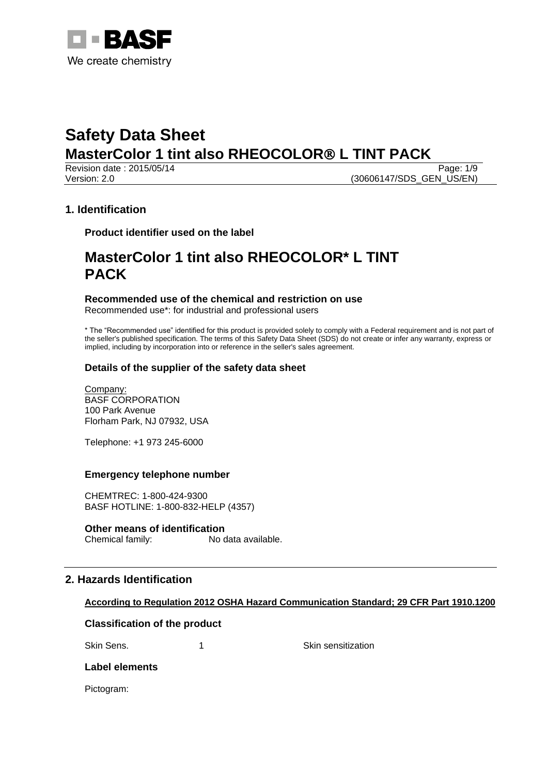

Revision date : 2015/05/14 Page: 1/9 Version: 2.0 **(30606147/SDS\_GEN\_US/EN)** 

## **1. Identification**

**Product identifier used on the label**

## **MasterColor 1 tint also RHEOCOLOR\* L TINT PACK**

### **Recommended use of the chemical and restriction on use**

Recommended use\*: for industrial and professional users

\* The "Recommended use" identified for this product is provided solely to comply with a Federal requirement and is not part of the seller's published specification. The terms of this Safety Data Sheet (SDS) do not create or infer any warranty, express or implied, including by incorporation into or reference in the seller's sales agreement.

## **Details of the supplier of the safety data sheet**

Company: BASF CORPORATION 100 Park Avenue Florham Park, NJ 07932, USA

Telephone: +1 973 245-6000

## **Emergency telephone number**

CHEMTREC: 1-800-424-9300 BASF HOTLINE: 1-800-832-HELP (4357)

#### **Other means of identification**

Chemical family: No data available.

## **2. Hazards Identification**

## **According to Regulation 2012 OSHA Hazard Communication Standard; 29 CFR Part 1910.1200**

## **Classification of the product**

Skin Sens. 1 1 Skin sensitization

## **Label elements**

Pictogram: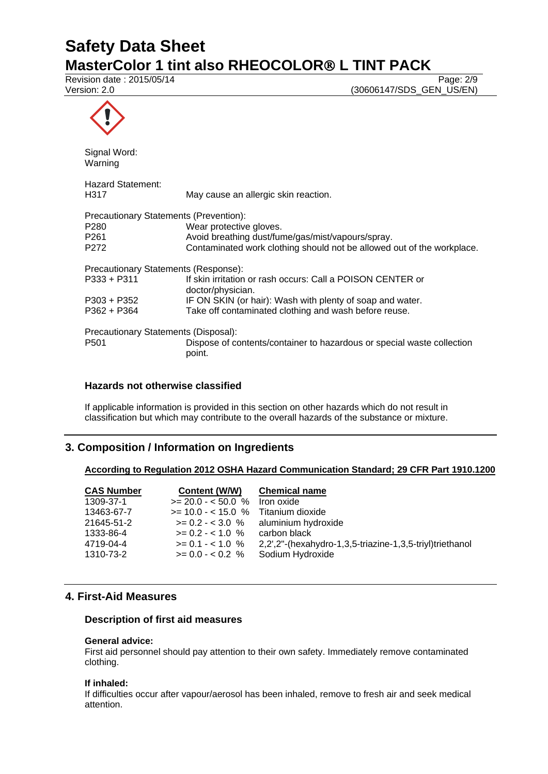Revision date : 2015/05/14 Page: 2/9

Version: 2.0 (30606147/SDS\_GEN\_US/EN)



| Signal Word:<br>Warning                |                                                                                  |  |
|----------------------------------------|----------------------------------------------------------------------------------|--|
| Hazard Statement:<br>H317              | May cause an allergic skin reaction.                                             |  |
| Precautionary Statements (Prevention): |                                                                                  |  |
| P <sub>280</sub>                       | Wear protective gloves.                                                          |  |
| P <sub>261</sub>                       | Avoid breathing dust/fume/gas/mist/vapours/spray.                                |  |
| P <sub>272</sub>                       | Contaminated work clothing should not be allowed out of the workplace.           |  |
| Precautionary Statements (Response):   |                                                                                  |  |
| $P333 + P311$                          | If skin irritation or rash occurs: Call a POISON CENTER or<br>doctor/physician.  |  |
| P303 + P352                            | IF ON SKIN (or hair): Wash with plenty of soap and water.                        |  |
| $P362 + P364$                          | Take off contaminated clothing and wash before reuse.                            |  |
| Precautionary Statements (Disposal):   |                                                                                  |  |
| P <sub>501</sub>                       | Dispose of contents/container to hazardous or special waste collection<br>point. |  |

## **Hazards not otherwise classified**

If applicable information is provided in this section on other hazards which do not result in classification but which may contribute to the overall hazards of the substance or mixture.

## **3. Composition / Information on Ingredients**

## **According to Regulation 2012 OSHA Hazard Communication Standard; 29 CFR Part 1910.1200**

| <b>CAS Number</b> | Content (W/W)                         | <b>Chemical name</b>                                     |
|-------------------|---------------------------------------|----------------------------------------------------------|
| 1309-37-1         | $>= 20.0 - 50.0$ %                    | Iron oxide                                               |
| 13463-67-7        | $>= 10.0 - < 15.0$ % Titanium dioxide |                                                          |
| 21645-51-2        |                                       | $>= 0.2 - 3.0$ % aluminium hydroxide                     |
| 1333-86-4         | $>= 0.2 - 1.0 %$                      | carbon black                                             |
| 4719-04-4         | $>= 0.1 - 1.0 %$                      | 2,2',2"-(hexahydro-1,3,5-triazine-1,3,5-triyl)triethanol |
| 1310-73-2         | $>= 0.0 - 0.2$ %                      | Sodium Hydroxide                                         |

## **4. First-Aid Measures**

#### **Description of first aid measures**

## **General advice:**

First aid personnel should pay attention to their own safety. Immediately remove contaminated clothing.

#### **If inhaled:**

If difficulties occur after vapour/aerosol has been inhaled, remove to fresh air and seek medical attention.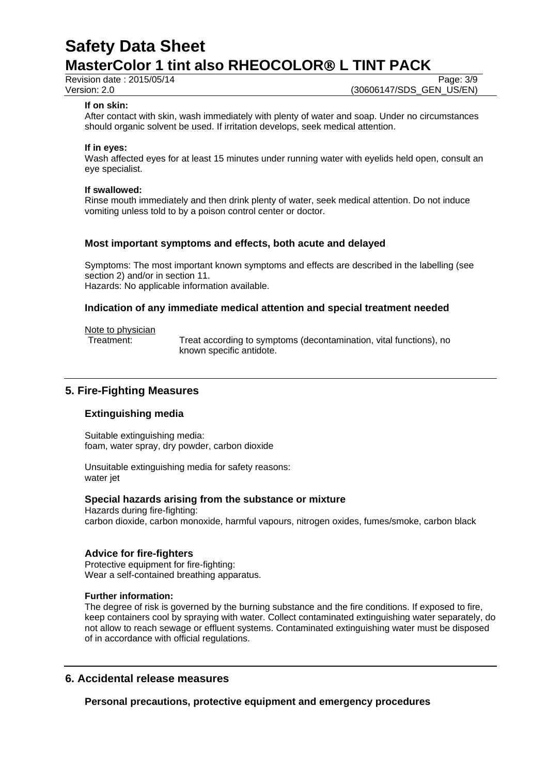Revision date : 2015/05/14 Page: 3/9

Version: 2.0 **(30606147/SDS\_GEN\_US/EN)** 

#### **If on skin:**

After contact with skin, wash immediately with plenty of water and soap. Under no circumstances should organic solvent be used. If irritation develops, seek medical attention.

#### **If in eyes:**

Wash affected eyes for at least 15 minutes under running water with eyelids held open, consult an eye specialist.

#### **If swallowed:**

Rinse mouth immediately and then drink plenty of water, seek medical attention. Do not induce vomiting unless told to by a poison control center or doctor.

#### **Most important symptoms and effects, both acute and delayed**

Symptoms: The most important known symptoms and effects are described in the labelling (see section 2) and/or in section 11. Hazards: No applicable information available.

## **Indication of any immediate medical attention and special treatment needed**

Note to physician

Treatment: Treat according to symptoms (decontamination, vital functions), no known specific antidote.

## **5. Fire-Fighting Measures**

## **Extinguishing media**

Suitable extinguishing media: foam, water spray, dry powder, carbon dioxide

Unsuitable extinguishing media for safety reasons: water jet

#### **Special hazards arising from the substance or mixture**

Hazards during fire-fighting: carbon dioxide, carbon monoxide, harmful vapours, nitrogen oxides, fumes/smoke, carbon black

#### **Advice for fire-fighters**

Protective equipment for fire-fighting: Wear a self-contained breathing apparatus.

#### **Further information:**

The degree of risk is governed by the burning substance and the fire conditions. If exposed to fire, keep containers cool by spraying with water. Collect contaminated extinguishing water separately, do not allow to reach sewage or effluent systems. Contaminated extinguishing water must be disposed of in accordance with official regulations.

## **6. Accidental release measures**

**Personal precautions, protective equipment and emergency procedures**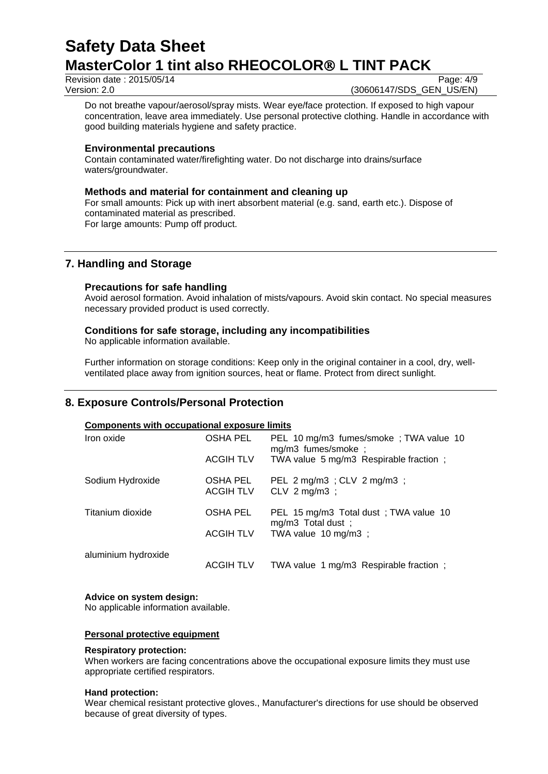Revision date : 2015/05/14 Page: 4/9

Version: 2.0 **(30606147/SDS\_GEN\_US/EN)** 

Do not breathe vapour/aerosol/spray mists. Wear eye/face protection. If exposed to high vapour concentration, leave area immediately. Use personal protective clothing. Handle in accordance with good building materials hygiene and safety practice.

## **Environmental precautions**

Contain contaminated water/firefighting water. Do not discharge into drains/surface waters/groundwater.

## **Methods and material for containment and cleaning up**

For small amounts: Pick up with inert absorbent material (e.g. sand, earth etc.). Dispose of contaminated material as prescribed. For large amounts: Pump off product.

## **7. Handling and Storage**

### **Precautions for safe handling**

Avoid aerosol formation. Avoid inhalation of mists/vapours. Avoid skin contact. No special measures necessary provided product is used correctly.

## **Conditions for safe storage, including any incompatibilities**

No applicable information available.

Further information on storage conditions: Keep only in the original container in a cool, dry, wellventilated place away from ignition sources, heat or flame. Protect from direct sunlight.

## **8. Exposure Controls/Personal Protection**

#### **Components with occupational exposure limits**

| Iron oxide          | OSHA PEL                     | PEL 10 mg/m3 fumes/smoke; TWA value 10<br>mg/m3 fumes/smoke;                       |  |
|---------------------|------------------------------|------------------------------------------------------------------------------------|--|
|                     | <b>ACGIH TLV</b>             | TWA value 5 mg/m3 Respirable fraction;                                             |  |
| Sodium Hydroxide    | OSHA PEL<br><b>ACGIH TLV</b> | PEL 2 mg/m3 ; CLV 2 mg/m3 ;<br>CLV $2 \text{ mg/m3}$ ;                             |  |
| Titanium dioxide    | OSHA PEL<br><b>ACGIH TLV</b> | PEL 15 mg/m3 Total dust; TWA value 10<br>mg/m3 Total dust;<br>TWA value 10 mg/m3 ; |  |
|                     |                              |                                                                                    |  |
| aluminium hydroxide | ACGIH TLV                    | TWA value 1 mg/m3 Respirable fraction;                                             |  |

#### **Advice on system design:**

No applicable information available.

#### **Personal protective equipment**

#### **Respiratory protection:**

When workers are facing concentrations above the occupational exposure limits they must use appropriate certified respirators.

#### **Hand protection:**

Wear chemical resistant protective gloves., Manufacturer's directions for use should be observed because of great diversity of types.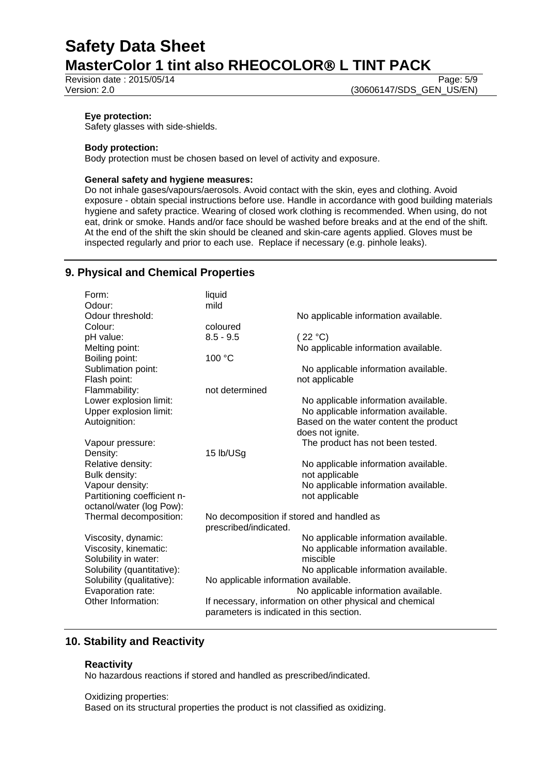Revision date : 2015/05/14 Page: 5/9

Version: 2.0 **(30606147/SDS\_GEN\_US/EN)** 

#### **Eye protection:**

Safety glasses with side-shields.

#### **Body protection:**

Body protection must be chosen based on level of activity and exposure.

#### **General safety and hygiene measures:**

Do not inhale gases/vapours/aerosols. Avoid contact with the skin, eyes and clothing. Avoid exposure - obtain special instructions before use. Handle in accordance with good building materials hygiene and safety practice. Wearing of closed work clothing is recommended. When using, do not eat, drink or smoke. Hands and/or face should be washed before breaks and at the end of the shift. At the end of the shift the skin should be cleaned and skin-care agents applied. Gloves must be inspected regularly and prior to each use. Replace if necessary (e.g. pinhole leaks).

## **9. Physical and Chemical Properties**

| Form:                       | liquid                                                   |                                        |  |
|-----------------------------|----------------------------------------------------------|----------------------------------------|--|
| Odour:                      | mild                                                     |                                        |  |
| Odour threshold:            |                                                          | No applicable information available.   |  |
| Colour:                     | coloured                                                 |                                        |  |
| pH value:                   | $8.5 - 9.5$                                              | (22 °C)                                |  |
| Melting point:              |                                                          | No applicable information available.   |  |
| Boiling point:              | 100 °C                                                   |                                        |  |
| Sublimation point:          |                                                          | No applicable information available.   |  |
| Flash point:                |                                                          | not applicable                         |  |
| Flammability:               | not determined                                           |                                        |  |
| Lower explosion limit:      |                                                          | No applicable information available.   |  |
| Upper explosion limit:      |                                                          | No applicable information available.   |  |
| Autoignition:               |                                                          | Based on the water content the product |  |
|                             |                                                          | does not ignite.                       |  |
| Vapour pressure:            |                                                          | The product has not been tested.       |  |
| Density:                    | 15 lb/USg                                                |                                        |  |
| Relative density:           |                                                          | No applicable information available.   |  |
| Bulk density:               |                                                          | not applicable                         |  |
| Vapour density:             |                                                          | No applicable information available.   |  |
| Partitioning coefficient n- |                                                          | not applicable                         |  |
| octanol/water (log Pow):    |                                                          |                                        |  |
| Thermal decomposition:      | No decomposition if stored and handled as                |                                        |  |
|                             | prescribed/indicated.                                    |                                        |  |
| Viscosity, dynamic:         |                                                          | No applicable information available.   |  |
| Viscosity, kinematic:       |                                                          | No applicable information available.   |  |
| Solubility in water:        |                                                          | miscible                               |  |
| Solubility (quantitative):  |                                                          | No applicable information available.   |  |
| Solubility (qualitative):   | No applicable information available.                     |                                        |  |
| Evaporation rate:           |                                                          | No applicable information available.   |  |
| Other Information:          | If necessary, information on other physical and chemical |                                        |  |
|                             | parameters is indicated in this section.                 |                                        |  |
|                             |                                                          |                                        |  |

## **10. Stability and Reactivity**

#### **Reactivity**

No hazardous reactions if stored and handled as prescribed/indicated.

#### Oxidizing properties:

Based on its structural properties the product is not classified as oxidizing.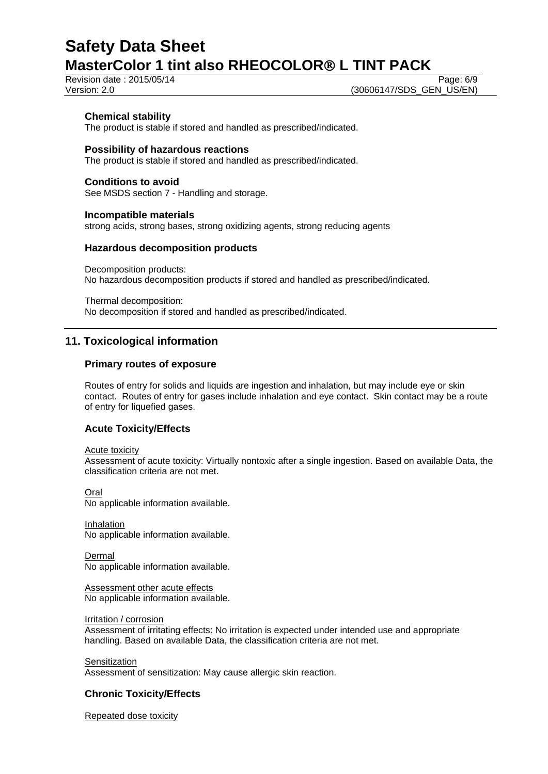Revision date : 2015/05/14 Page: 6/9

Version: 2.0 **(30606147/SDS\_GEN\_US/EN)** 

### **Chemical stability**

The product is stable if stored and handled as prescribed/indicated.

### **Possibility of hazardous reactions**

The product is stable if stored and handled as prescribed/indicated.

#### **Conditions to avoid**

See MSDS section 7 - Handling and storage.

#### **Incompatible materials**

strong acids, strong bases, strong oxidizing agents, strong reducing agents

## **Hazardous decomposition products**

Decomposition products: No hazardous decomposition products if stored and handled as prescribed/indicated.

Thermal decomposition: No decomposition if stored and handled as prescribed/indicated.

## **11. Toxicological information**

### **Primary routes of exposure**

Routes of entry for solids and liquids are ingestion and inhalation, but may include eye or skin contact. Routes of entry for gases include inhalation and eye contact. Skin contact may be a route of entry for liquefied gases.

## **Acute Toxicity/Effects**

Acute toxicity

Assessment of acute toxicity: Virtually nontoxic after a single ingestion. Based on available Data, the classification criteria are not met.

Oral

No applicable information available.

Inhalation No applicable information available.

Dermal No applicable information available.

Assessment other acute effects No applicable information available.

Irritation / corrosion

Assessment of irritating effects: No irritation is expected under intended use and appropriate handling. Based on available Data, the classification criteria are not met.

**Sensitization** 

Assessment of sensitization: May cause allergic skin reaction.

## **Chronic Toxicity/Effects**

Repeated dose toxicity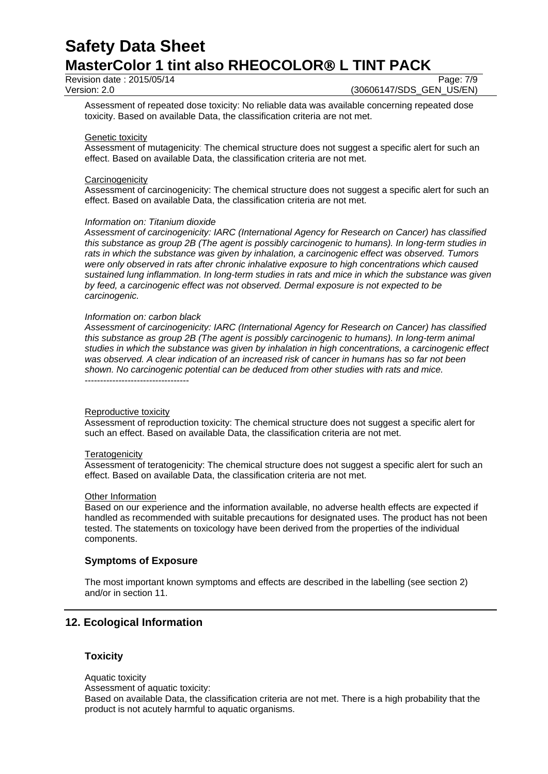Revision date : 2015/05/14 Page: 7/9

Version: 2.0 **(30606147/SDS\_GEN\_US/EN)** 

Assessment of repeated dose toxicity: No reliable data was available concerning repeated dose toxicity. Based on available Data, the classification criteria are not met.

#### Genetic toxicity

Assessment of mutagenicity: The chemical structure does not suggest a specific alert for such an effect. Based on available Data, the classification criteria are not met.

#### **Carcinogenicity**

Assessment of carcinogenicity: The chemical structure does not suggest a specific alert for such an effect. Based on available Data, the classification criteria are not met.

#### *Information on: Titanium dioxide*

*Assessment of carcinogenicity: IARC (International Agency for Research on Cancer) has classified this substance as group 2B (The agent is possibly carcinogenic to humans). In long-term studies in rats in which the substance was given by inhalation, a carcinogenic effect was observed. Tumors were only observed in rats after chronic inhalative exposure to high concentrations which caused sustained lung inflammation. In long-term studies in rats and mice in which the substance was given by feed, a carcinogenic effect was not observed. Dermal exposure is not expected to be carcinogenic.*

#### *Information on: carbon black*

*Assessment of carcinogenicity: IARC (International Agency for Research on Cancer) has classified this substance as group 2B (The agent is possibly carcinogenic to humans). In long-term animal studies in which the substance was given by inhalation in high concentrations, a carcinogenic effect was observed. A clear indication of an increased risk of cancer in humans has so far not been shown. No carcinogenic potential can be deduced from other studies with rats and mice.*

----------------------------------

#### Reproductive toxicity

Assessment of reproduction toxicity: The chemical structure does not suggest a specific alert for such an effect. Based on available Data, the classification criteria are not met.

#### **Teratogenicity**

Assessment of teratogenicity: The chemical structure does not suggest a specific alert for such an effect. Based on available Data, the classification criteria are not met.

#### Other Information

Based on our experience and the information available, no adverse health effects are expected if handled as recommended with suitable precautions for designated uses. The product has not been tested. The statements on toxicology have been derived from the properties of the individual components.

#### **Symptoms of Exposure**

The most important known symptoms and effects are described in the labelling (see section 2) and/or in section 11.

## **12. Ecological Information**

## **Toxicity**

Aquatic toxicity

Assessment of aquatic toxicity:

Based on available Data, the classification criteria are not met. There is a high probability that the product is not acutely harmful to aquatic organisms.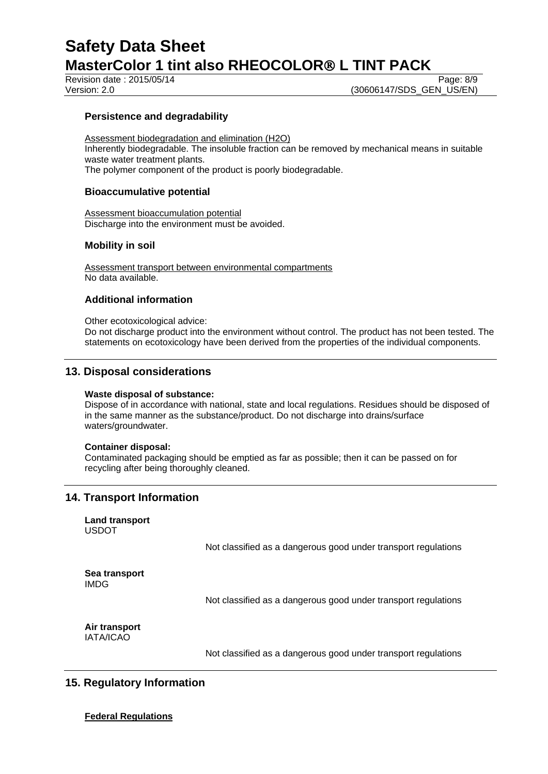Revision date : 2015/05/14 Page: 8/9

Version: 2.0 **(30606147/SDS\_GEN\_US/EN)** 

## **Persistence and degradability**

Assessment biodegradation and elimination (H2O) Inherently biodegradable. The insoluble fraction can be removed by mechanical means in suitable waste water treatment plants. The polymer component of the product is poorly biodegradable.

#### **Bioaccumulative potential**

Assessment bioaccumulation potential Discharge into the environment must be avoided.

### **Mobility in soil**

Assessment transport between environmental compartments No data available.

### **Additional information**

Other ecotoxicological advice:

Do not discharge product into the environment without control. The product has not been tested. The statements on ecotoxicology have been derived from the properties of the individual components.

## **13. Disposal considerations**

#### **Waste disposal of substance:**

Dispose of in accordance with national, state and local regulations. Residues should be disposed of in the same manner as the substance/product. Do not discharge into drains/surface waters/groundwater.

#### **Container disposal:**

Contaminated packaging should be emptied as far as possible; then it can be passed on for recycling after being thoroughly cleaned.

## **14. Transport Information**

**Land transport** USDOT

Not classified as a dangerous good under transport regulations

**Sea transport** IMDG

Not classified as a dangerous good under transport regulations

**Air transport** IATA/ICAO

Not classified as a dangerous good under transport regulations

## **15. Regulatory Information**

**Federal Regulations**